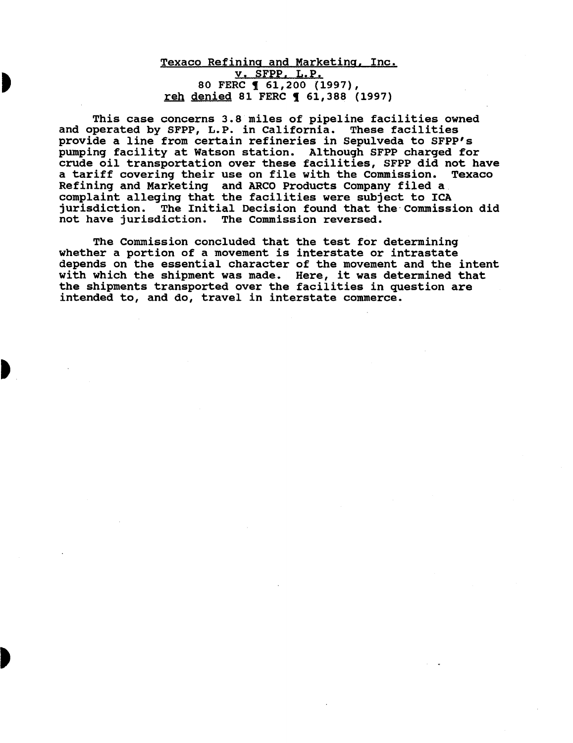## Texaco Refining and Marketing, Inc. v. SFPP. L.P. 80 FERC **[** 61,200 (1997), reh denied 81 FERC **1 61,388 (1997)**

This case concerns 3.8 miles of pipeline facilities owned and operated by SFPP, L.P. in California. These facilities provide a line from certain refineries in Sepulveda to SFPP's pumping facility at Watson station. Although SFPP charged for crude oil transportation over these facilities, SFPP did not have a tariff covering their use on file with the Commission. Texaco Refining and Marketing and ARCO Products Company filed a complaint alleging that the facilities were subject to ICA jurisdiction. The Initial Decision found that the·Commission did not have jurisdiction. The Commission reversed.

The Commission concluded that the test for determining whether a portion of a movement is interstate or intrastate depends on the essential character of the movement and the intent with which the shipment was made. Here, it was determined that the shipments transported over the facilities in question are intended to, and do, travel in interstate commerce.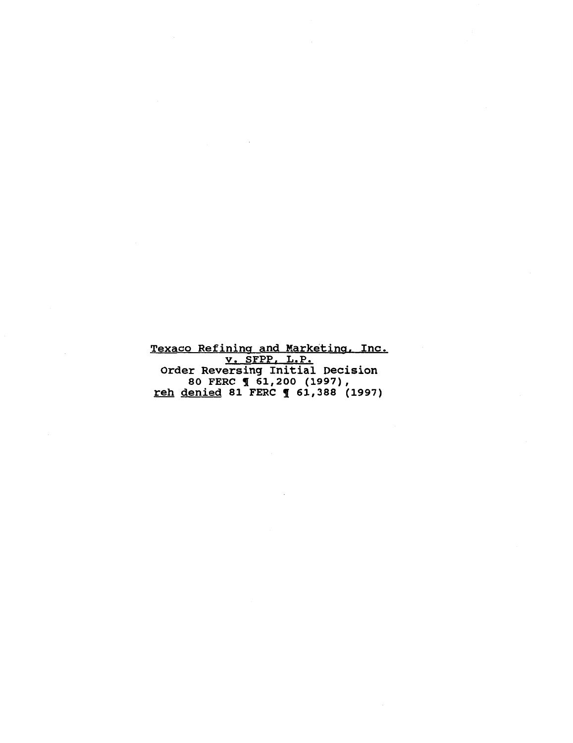Texaco Refining and Marketing, Inc. v. SFPP, L.P. Order Reversing Initial Decision 80 FERC **1** 61,200 (1997), <u>reh denied</u> 81 FERC ¶ 61,388 (1997)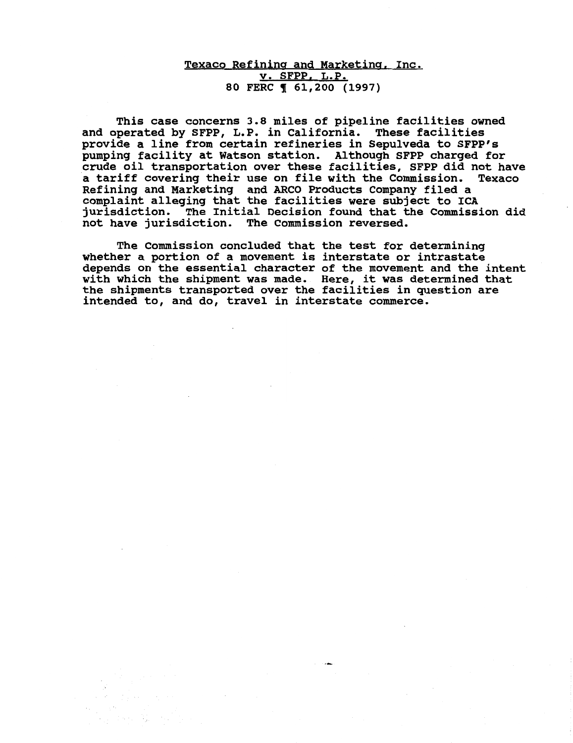# Texaco Refining and Marketing, Inc. v. SFPP. L.P. 80 FERC **161,200** (1997)

This case concerns 3.8 miles of pipeline facilities owned and operated by SFPP, L.P. in California. These facilities provide a line from certain refineries in Sepulveda to SFPP's pumping facility at Watson station. Although SFPP charged for crude oil transportation over these facilities, SFPP did not have a tariff covering their use on file with the Commission. Texaco Refining and Marketing and ARCO Products Company filed a complaint alleging that the facilities were subject to ICA jurisdiction. The Initial Decision found that the Commission did not have jurisdiction. The Commission reversed.

The Commission concluded that the test for determining whether a portion of a movement is interstate or intrastate depends on the essential character of the movement and the intent with which the shipment was made. Here, it was determined that the shipments transported over the facilities in question are intended to, and do, travel in interstate commerce.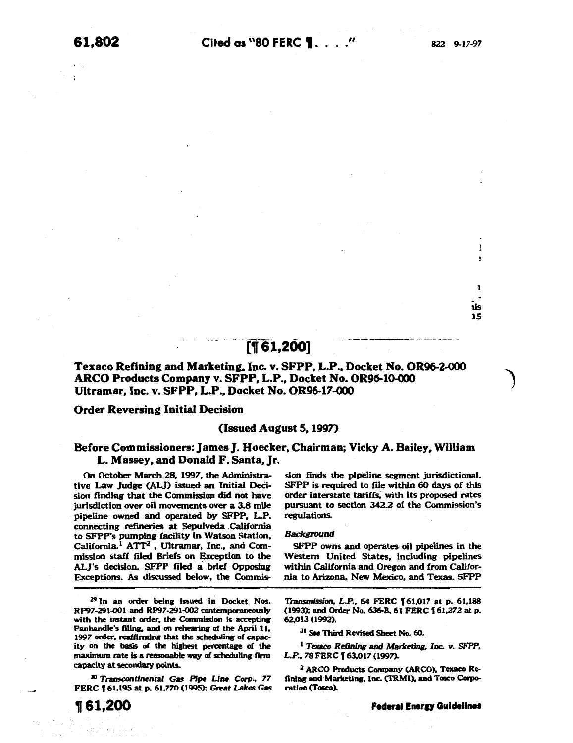lis 15

l

 $\mathbf{I}$ 

# ·····nrs1,2oo1

# Texaco Refining and Marketing, Inc. v. SFPP, L.P., Docket No. OR96-2-000 ARCO Products Company v. SFPP. L.P., Docket No. OR96-10-000 Ultramar. Inc. v. SFPP. L.P., Docket No. OR96-17-000

#### Order Reversing Initial Decision

#### (Issued August *s.* 1997)

## Before Commissioners: James]. Hoecker, Chairman; Vicky A. Bailey. William L. Massey. and Donald F. Santa. Jr.

On October March 28. 1997, the Administrative Law Judge (ALJ) issued an Initial Decision finding that the Commission did not have jurisdiction over oil movements over a 3.8 mile pipeline owned and operated by SFPP, L.P. connecting refineries at Sepulveda . California to SFPP's pumping facility in Watson Station, California.<sup>1</sup> ATT<sup>2</sup>, Ultramar, Inc., and Commission staff filed Briefs on Exception to the ALJ's decision. SFPP filed a brief Opposing Exceptions. As discussed below, the Commis-

Z9 In an order being issued in Docket Nos. RP97-291-001 and RP97-291-002 contemporaneously with the instant order, the Commission is accepting Panhandle's filing, and on rehearing of the April 11, 1997 order, reaffirming that the scheduling of capacity on the basis of the highest percentage of the maximum rate is a reasonable way of scheduling firm capacity at secondary points.

<sup>30</sup>Transcontinental Gas Pipe Une Corp., *77*  FERC f 61,195 at p. 61,770 (1995); Great *Lakes* Gas

sion finds the pipeline segment jurisdictional. SFPP is required to file within 60 days of this order interstate tariffs, with its proposed rates pursuant to section 342.2 of the Commission's regulations.

#### Background

SFPP owns and operates oil pipelines in the Western United States, including pipelines within California and Oregon and from California to Arizona, New Mexico, and Texas. SFPP

Transmission, L.P., 64 FERC f 61,017 at p. 61,188 (1993); and Order No. 636-B, 61 FERC f 61.272 at p. 62.013 ( 1992).

<sup>31</sup> See Third Revised Sheet No. 60.

<sup>1</sup>*Texaco Refining and* Marketing, *Inc. v. SFPP,*  L.P., 78 FERC [ 63,017 (1997).

<sup>2</sup> ARCO Products Company (ARCO), Texaco Refining and Marketing, Inc. (TRMI). and Tosco Corporation (Tosco).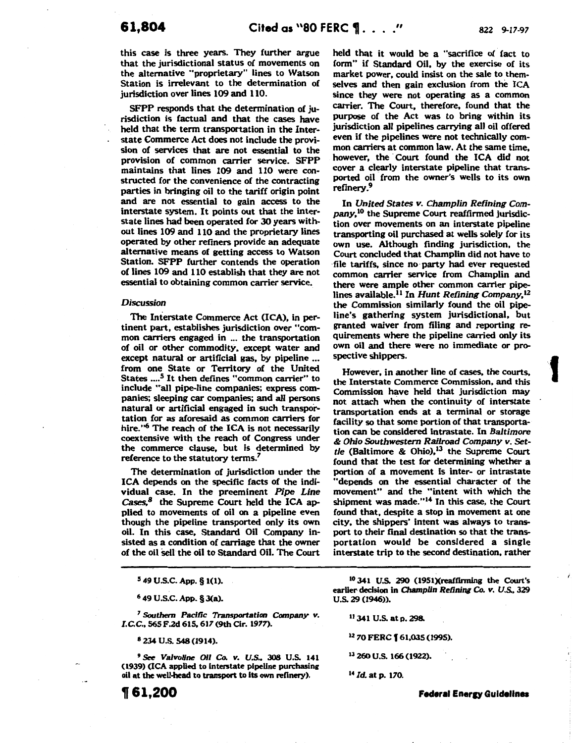**t** 

this case is three years. They further argue that the jurisdictional status of movements on the alternative "proprietary" lines to Watson Station is irrelevant to the determination of jurisdiction over lines 109 and 110.

SFPP responds that the determination of jurisdiction is factual and that the cases have held that the term transportation in the Interstate Commerce Act does not include the provision of services that are not essential to the provision of common carrier service. SFPP maintains that lines 109 and 110 were constructed for the convenience of the contracting parties in bringing oil to the tariff origin point and are not essential to gain access to the interstate system. It points out that the interstate lines had been operated for 30 years without lines 109 and 110 and the proprietary lines operated by other refiners provide an adequate alternative means of getting access to Watson Station. SFPP further contends the operation of lines 109 and 110 establish that they are not essential to obtaining common carrier service.

#### *Discussion*

The Interstate Commerce Act (ICA), in pertinent part, establishes jurisdiction over "common carriers engaged in ... the transportation of oil or other commodity. except water and except natural or artificial gas, by pipeline ... from one State or Territory of the United States ....<sup>5</sup> It then defines "common carrier" to include "all pipe-line companies; express companies; sleeping car companies; and all persons natural or artificial engaged in such transportation for as aforesaid as common carriers for hire."<sup>6</sup> The reach of the ICA is not necessarily coextensive with the reach of Congress under the commerce clause, but is determined by reference to the statutory terms?

The determination of jurisdiction under the ICA depends on the specific facts of the individual case. In the preeminent *Pipe Line Cases.8* the Supreme Court held the ICA applied to movements of oil on a pipeline even though the pipeline transported only its own oil. In this case, Standard Oil Company insisted as a condition of carriage that the owner of the oil sell the oil to Standard Oil. The Court

6 49 U.S.C. App. §J(a). U.S. 29 (1946)).

<sup>7</sup> Southern Pacific Transportation Company v.  $11\,341\,$  U.S. at p. 298. I.C.C., 565 F.2d 615, 617 (9th Cir. 1977).

 $9$  See Valvoline Oil Co. v. U.S., 308 U.S. 141  $13$  260 U.S. 166 (1922). (1939) (ICA applied to interstate pipeline purchasing oil at the well-head to transport to its own refinery). 14 *Id.* at p. 170.

held that it would be a "sacrifice of fact to form" if Standard Oil, by the exercise of its market power. could insist on the sale to themselves and then gain exclusion from the ICA since they were not operating as a common carrier. The Court. therefore, found that the purpose of the Act was to bring within its jurisdiction all pipelines carrying all oil offered even if the pipelines were not technically common carriers at common law. At the same time, however, the Court found the ICA did not cover a clearly interstate pipeline that transported oil from the owner's wells to its own refinery.<sup>9</sup>

In *United* States *v. Champlin Refining Company,10* the Supreme Court reaffirmed jurisdiction over movements on an interstate pipeline transporting oil purchased at wells solely for its own use. Although finding jurisdiction, the Court concluded that Champlin did not have to ·file tariffs. since no party had ever requested common carrier service from Champlin and there were ample other common carrier pipelines available.11 In *Hunt Refining Company,1Z*  the Commission similarly found the oil pipeline's gathering system jurisdictional, but granted waiver from filing and reporting requirements where the pipeline carried only its own oil and there were no immediate or prospective shippers.

However, in another line of cases, the courts, the Interstate Commerce Commission, and this Commission have held that jurisdiction may not attach when the continuity of interstate transportation ends at a terminal or storage facility so that some portion of that transportation can be considered intrastate. In *Baltimore*  & *Ohio Southwestern Railroad Company v. Set*tle (Baltimore & Ohio),<sup>13</sup> the Supreme Court found that the test for determining whether a portion of a movement is inter- or intrastate "depends on the essential character of the movement" and the "intent with which the shipment was made."<sup>14</sup> In this case, the Court found that, despite a stop in movement at one city, the shippers' intent was always to transport to their final destination so that the transportation would be considered a single interstate trip to the second destination, rather

<sup>5</sup> 49 U.S.C. App. § 1(1). IO 341 U.S. 290 (1951)(reaffirming the Court's earlier decision in Champlin Refining Co. v. U.S., 329

s IZ *70* FERC **f** 61,035 (1995). 234 u.s. 548(1914).

, **61,200 Federal Eneru Guidelines**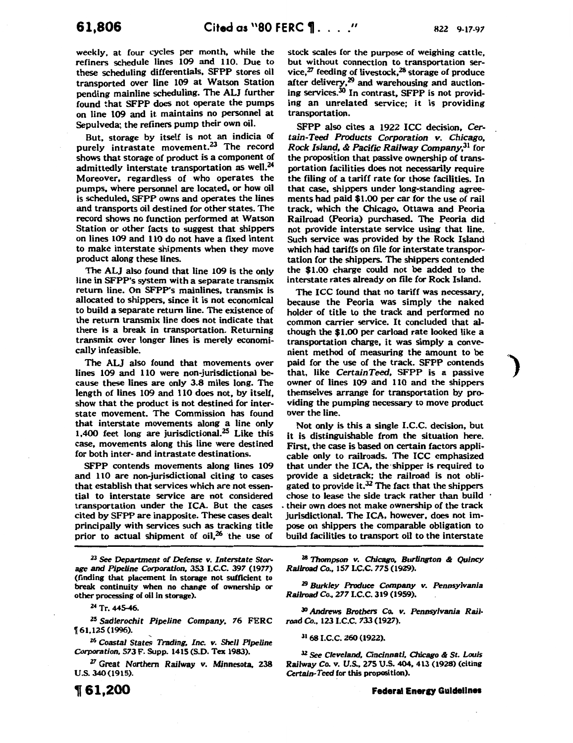weekly. at four cycles per month, while the refiners schedule lines 109 and 110. Due to these scheduling differentials, SFPP stores oil transported over line 109 at Watson Station pending mainline scheduling. The ALJ further found that SFPP does not operate the pumps on line 109 and it maintains no personnel at Sepulveda; the refiners pump their own oil.

But, storage by itself is not an indicia of purely intrastate movement.<sup>23</sup> The record shows that storage of product is a component of admittedly interstate transportation as well.<sup>24</sup> Moreover, regardless of who operates the pumps, where personnel are located, or how oil is scheduled, SFPP owns and operates the lines and transports oil destined for other states. The record shows no function performed at Watson Station or other facts to suggest that shippers on lines 109 and 110 do not have a fixed intent to make interstate shipments when they move product along these lines.

The ALJ also found that line 109 is the only line in SFPP's system with a separate transmix return line. On SFPP's mainlines, transmix is allocated to shippers, since it is not economical to build a separate return line. The existence of the return transmix line does not indicate that there is a break in transportation. Returning transmix over longer lines is merely economically infeasible.

The ALJ also found that movements over lines 109 and 110 were non-jurisdictional because these lines are only 3.8 miles long. The length of lines 109 and 110 does not, by itself, show that the product is not destined for interstate movement. The Commission has found that interstate movements along a line only 1,400 feet long are jurisdictional.<sup>25</sup> Like this case, movements along this line were destined for both inter- and intrastate destinations.

SFPP contends movements along lines 109 and 110 are non-jurisdictional citing to cases that establish that services which are not essential to interstate service are not considered transportation under the ICA. But the cases cited by SFPP are inapposite. These cases dealt principally with services such as tracking title prior to actual shipment of oil, $^{26}$  the use of

*23 See Department of Defense v. Interstate Storage and Pipeline Corporation,* 353 I.C.C. 397 (1977) (finding that placement in storage not sufficient to break continuity when no change of ownership or other processing of oil in storage).

*<sup>24</sup>*Tr. 445-46.

*zs Sadlerochit Pipeline Company,* 76 FERC f 61,125 (1996).

*26 Coastal States Trading, Inc. v. Shell Pipeline Corporation,* 573 F. Supp. 1415 (S.D. Tex 1983).

<sup>27</sup>Great Northern Railway *v.* Minnesota, 238 u.s. 340 (1915).

**,61,200** 

stock scales for the purpose of weighing cattle, but without connection to transportation service, $^{27}$  feeding of livestock, $^{28}$  storage of produce after delivery,<sup>29</sup> and warehousing and auctioning services.<sup>30</sup> In contrast, SFPP is not providing an unrelated service; it is providing transportation.

SFPP also cites a 1922 ICC decision, *Certain-Teed Products Corporation v. Chicago, Rock Island,* & *Pacific Railway* Company,31 for the proposition that passive ownership of transportation facilities does not necessarily require the filing of a tariff rate for those facilities. In that case. shippers under long-standing agreements had paid \$1.00 per car for the use of rail track, which the Chicago, Ottawa and Peoria Railroad (Peoria) purchased. The Peoria did not provide interstate service using that line. Such service was provided by the Rock Island which had tariffs on file for interstate transportation for the shippers. The shippers contended the \$1.00 charge could not be added to the interstate rates already on file for Rock Island.

The ICC found that no tariff was necessary, because the Peoria was simply the naked holder of title to the track and performed no common carrier service. It concluded that although the \$1.00 per carload rate looked like a transportation charge, it was simply a convenient method of measuring the amount to be paid for the use of the track. SFPP contends that. like *CertainTeed,* SFPP is a passive owner of lines 109 and 110 and the shippers themselves arrange for transportation by providing the pumping necessary to move product over the line.

Not only is this a single I.C.C. decision, but it is distinguishable from the situation here. First, the case is based on certain factors applicable only to railroads. The ICC emphasized that under the ICA. the·shipper is required to provide a sidetrack; the railroad is not obligated to provide it. $32$  The fact that the shippers chose to lease the side track rather than build . their own does not make ownership of the track jurisdictional. The ICA, however. does not impose on shippers the comparable obligation to build facilities to transport oil to the interstate

:za *Thompson v. Chicago, Burlington* & *Quincy Railroad Co.,* 157I.C.C. 775 (1929).

<sup>29</sup>*Burkley Produce Company v. Pennsylvania Railroad Co.,* 2771.C.C. 319 (1959).

30 Andrews *Brothers* Co. *v. Pennsylvania Rail·*  road Co., 123 I.C.C. 733 (1927).

31 68 I.C.C. 260 (1922).

JZ *See Cleveland, Cincinnati, Chicago* & *St. Louis RaiJway* Co. *v. U.S..* 275 U.S. 404, 413 (1928) (citing *Certaln· Teed* for this proposition).

**Federal Energy Guidelines**